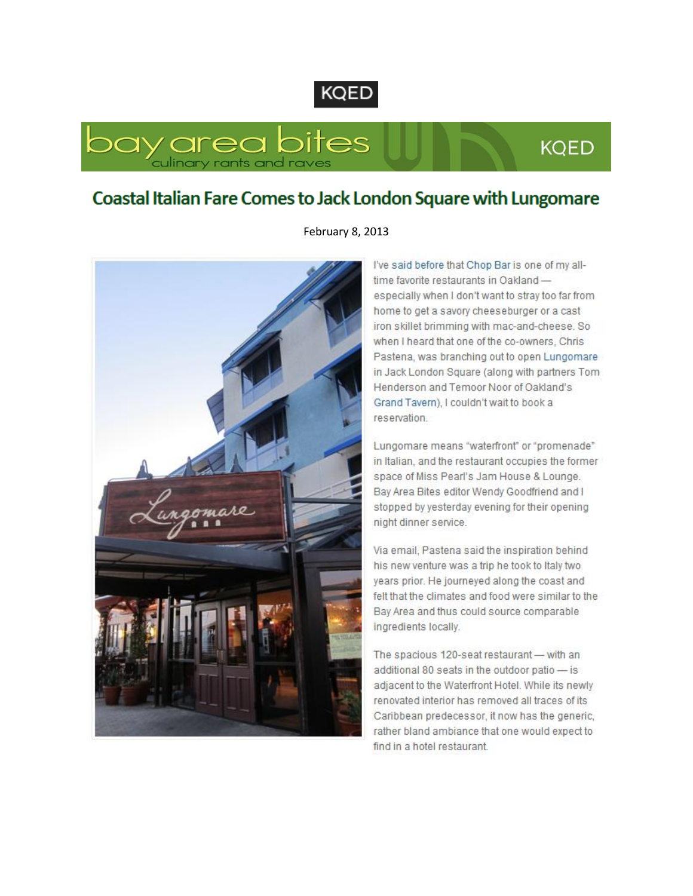# **KQED**

## bayarea bite  $\Rightarrow$

# **KQED**

## **Coastal Italian Fare Comes to Jack London Square with Lungomare**

February 8, 2013



I've said before that Chop Bar is one of my alltime favorite restaurants in Oaklandespecially when I don't want to stray too far from home to get a savory cheeseburger or a cast iron skillet brimming with mac-and-cheese. So when I heard that one of the co-owners. Chris Pastena, was branching out to open Lungomare in Jack London Square (along with partners Tom Henderson and Temoor Noor of Oakland's Grand Tavern), I couldn't wait to book a reservation.

Lungomare means "waterfront" or "promenade" in Italian, and the restaurant occupies the former space of Miss Pearl's Jam House & Lounge. Bay Area Bites editor Wendy Goodfriend and I stopped by yesterday evening for their opening night dinner service.

Via email. Pastena said the inspiration behind his new venture was a trip he took to Italy two years prior. He journeyed along the coast and felt that the climates and food were similar to the Bay Area and thus could source comparable ingredients locally.

The spacious 120-seat restaurant - with an additional 80 seats in the outdoor patio-is adiacent to the Waterfront Hotel. While its newly renovated interior has removed all traces of its Caribbean predecessor, it now has the generic, rather bland ambiance that one would expect to find in a hotel restaurant.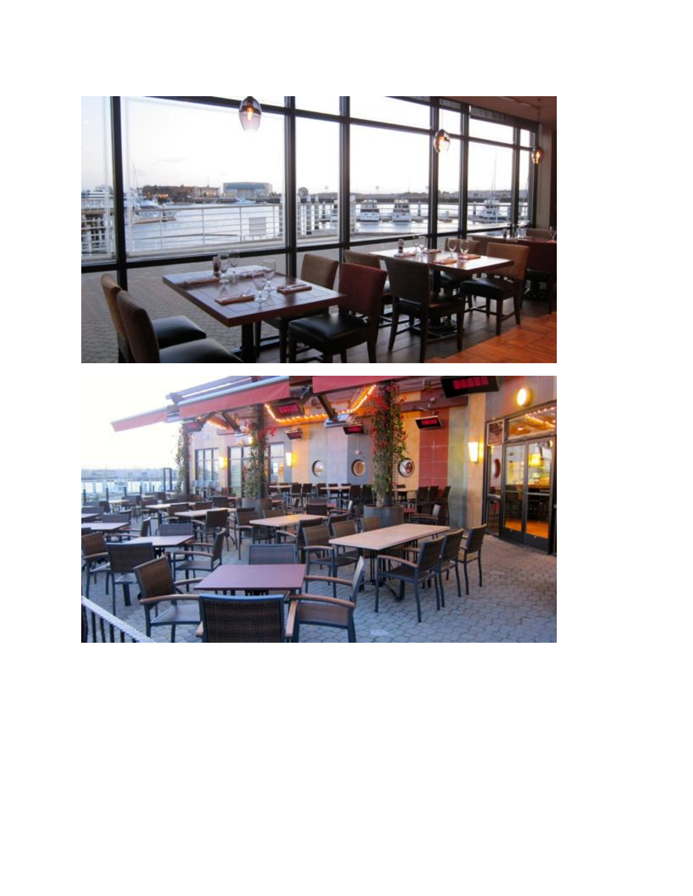

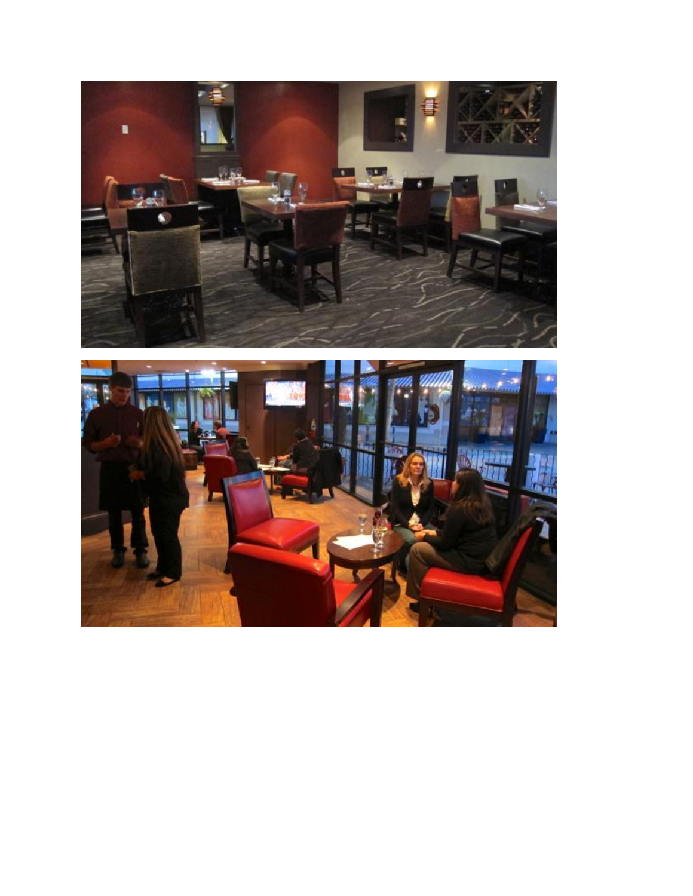

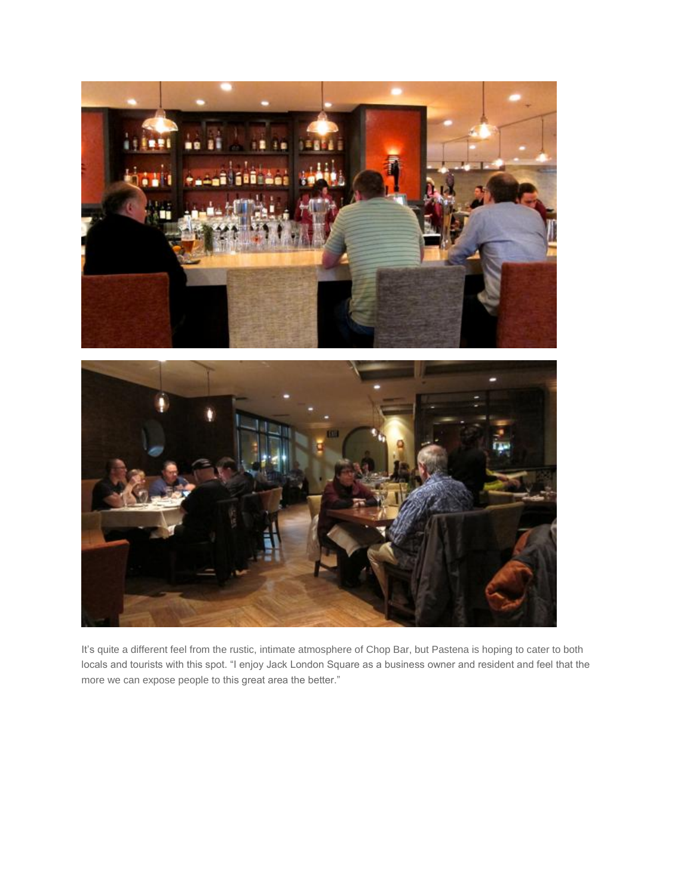

It's quite a different feel from the rustic, intimate atmosphere of Chop Bar, but Pastena is hoping to cater to both locals and tourists with this spot. "I enjoy Jack London Square as a business owner and resident and feel that the more we can expose people to this great area the better."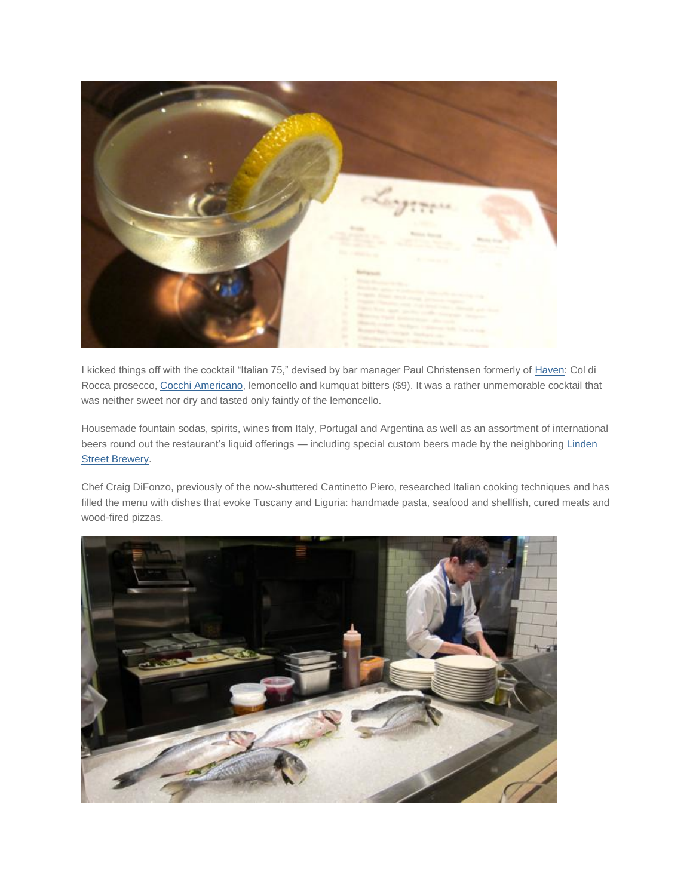

I kicked things off with the cocktail "Italian 75," devised by bar manager Paul Christensen formerly of [Haven:](http://blogs.kqed.org/bayareabites/2012/01/10/let-them-cook-for-you-haven/) Col di Rocca prosecco, [Cocchi Americano,](http://en.wikipedia.org/wiki/Cocchi_Americano) lemoncello and kumquat bitters (\$9). It was a rather unmemorable cocktail that was neither sweet nor dry and tasted only faintly of the lemoncello.

Housemade fountain sodas, spirits, wines from Italy, Portugal and Argentina as well as an assortment of international beers round out the restaurant's liquid offerings — including special custom beers made by the neighboring Linden **[Street Brewery.](http://www.lindenbeer.com/)** 

Chef Craig DiFonzo, previously of the now-shuttered Cantinetto Piero, researched Italian cooking techniques and has filled the menu with dishes that evoke Tuscany and Liguria: handmade pasta, seafood and shellfish, cured meats and wood-fired pizzas.

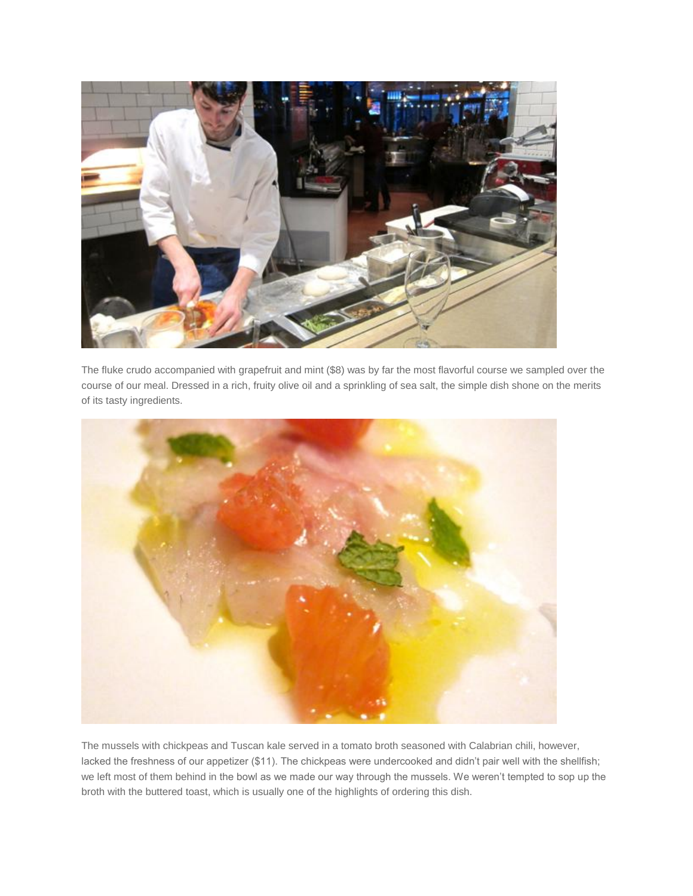

The fluke crudo accompanied with grapefruit and mint (\$8) was by far the most flavorful course we sampled over the course of our meal. Dressed in a rich, fruity olive oil and a sprinkling of sea salt, the simple dish shone on the merits of its tasty ingredients.



The mussels with chickpeas and Tuscan kale served in a tomato broth seasoned with Calabrian chili, however, lacked the freshness of our appetizer (\$11). The chickpeas were undercooked and didn't pair well with the shellfish; we left most of them behind in the bowl as we made our way through the mussels. We weren't tempted to sop up the broth with the buttered toast, which is usually one of the highlights of ordering this dish.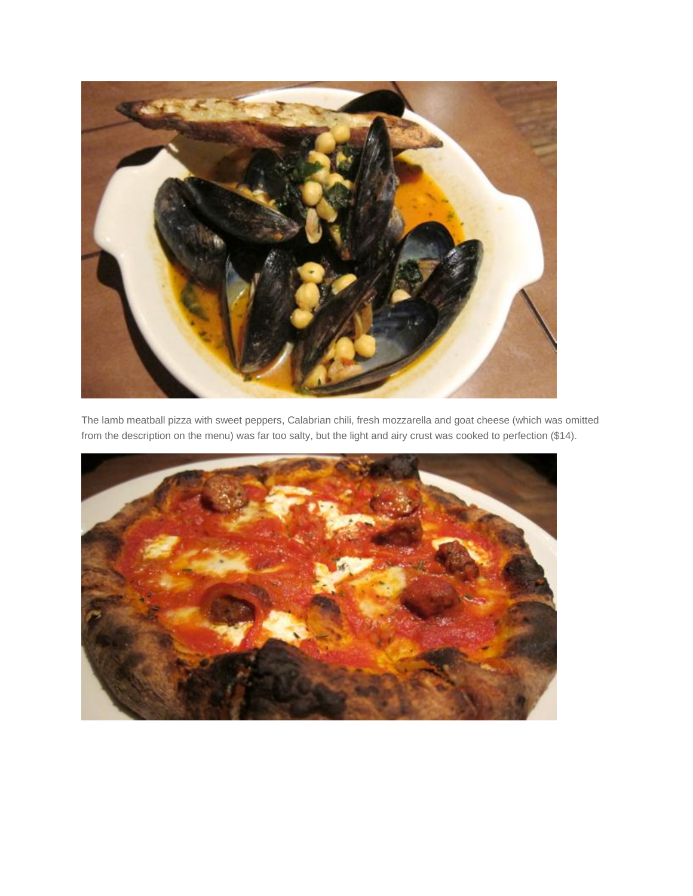

The lamb meatball pizza with sweet peppers, Calabrian chili, fresh mozzarella and goat cheese (which was omitted from the description on the menu) was far too salty, but the light and airy crust was cooked to perfection (\$14).

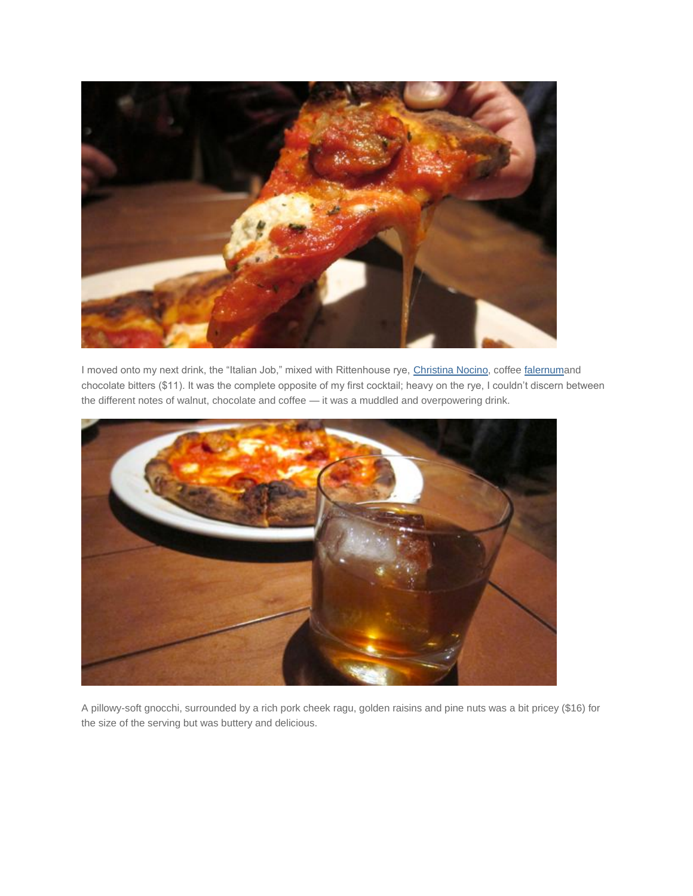

I moved onto my next drink, the "Italian Job," mixed with Rittenhouse rye, [Christina Nocino,](http://www.nocino.com/nocino.shtml) coffee [falernuma](http://en.wikipedia.org/wiki/Falernum)nd chocolate bitters (\$11). It was the complete opposite of my first cocktail; heavy on the rye, I couldn't discern between the different notes of walnut, chocolate and coffee — it was a muddled and overpowering drink.



A pillowy-soft gnocchi, surrounded by a rich pork cheek ragu, golden raisins and pine nuts was a bit pricey (\$16) for the size of the serving but was buttery and delicious.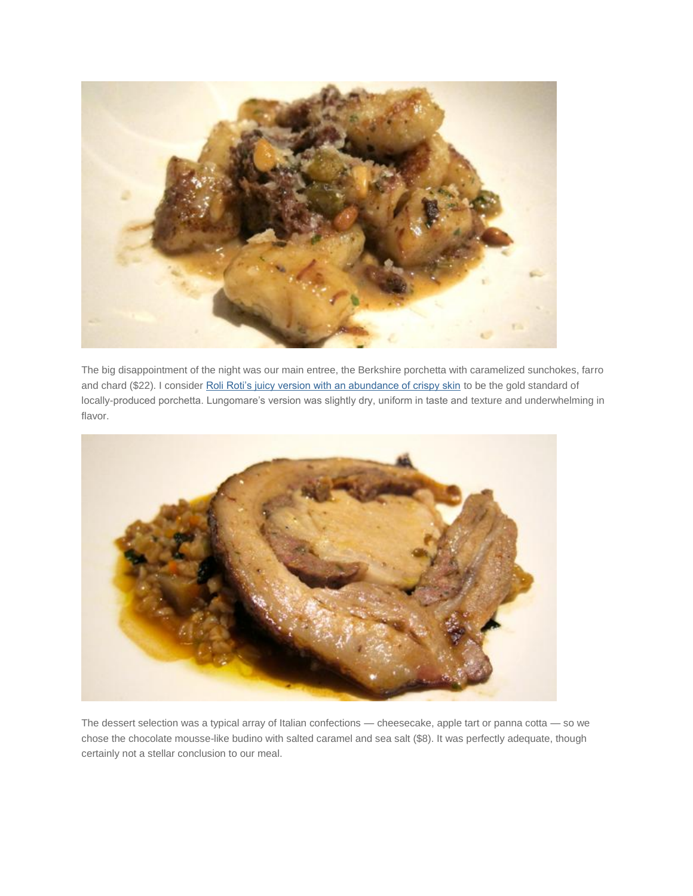

The big disappointment of the night was our main entree, the Berkshire porchetta with caramelized sunchokes, farro and chard (\$22). I consider [Roli Roti's juicy version with an abundance of crispy skin](http://www.roliroti.com/) to be the gold standard of locally-produced porchetta. Lungomare's version was slightly dry, uniform in taste and texture and underwhelming in flavor.



The dessert selection was a typical array of Italian confections — cheesecake, apple tart or panna cotta — so we chose the chocolate mousse-like budino with salted caramel and sea salt (\$8). It was perfectly adequate, though certainly not a stellar conclusion to our meal.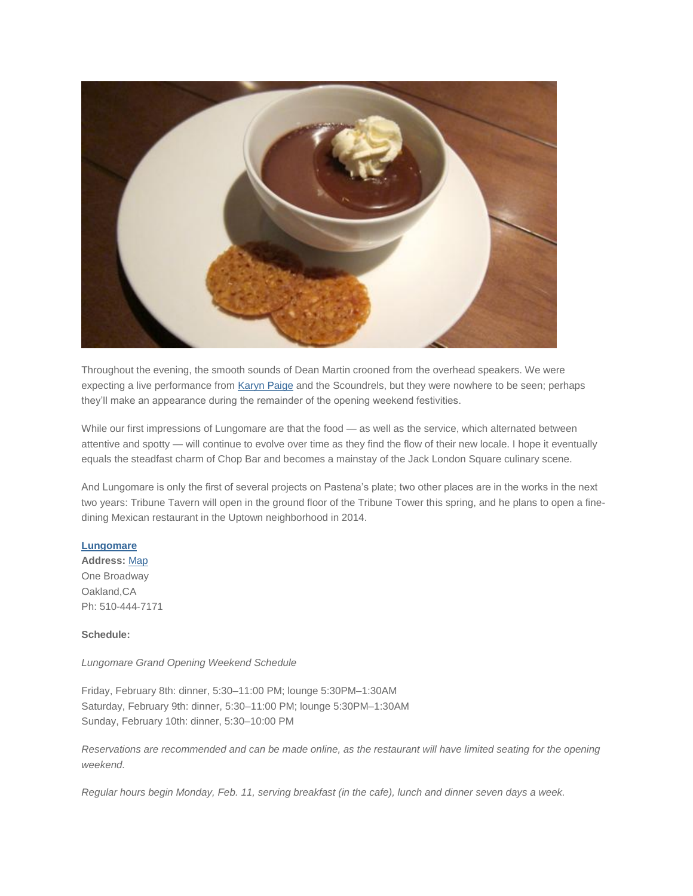

Throughout the evening, the smooth sounds of Dean Martin crooned from the overhead speakers. We were expecting a live performance from [Karyn Paige](http://www.karynpaige.com/) and the Scoundrels, but they were nowhere to be seen; perhaps they'll make an appearance during the remainder of the opening weekend festivities.

While our first impressions of Lungomare are that the food — as well as the service, which alternated between attentive and spotty — will continue to evolve over time as they find the flow of their new locale. I hope it eventually equals the steadfast charm of Chop Bar and becomes a mainstay of the Jack London Square culinary scene.

And Lungomare is only the first of several projects on Pastena's plate; two other places are in the works in the next two years: Tribune Tavern will open in the ground floor of the Tribune Tower this spring, and he plans to open a finedining Mexican restaurant in the Uptown neighborhood in 2014.

#### **[Lungomare](http://lungomareoakland.com/)**

**Address:** [Map](http://goo.gl/maps/G3iPY) One Broadway Oakland,CA Ph: 510-444‐7171

**Schedule:**

*Lungomare Grand Opening Weekend Schedule*

Friday, February 8th: dinner, 5:30–11:00 PM; lounge 5:30PM–1:30AM Saturday, February 9th: dinner, 5:30–11:00 PM; lounge 5:30PM–1:30AM Sunday, February 10th: dinner, 5:30–10:00 PM

*Reservations are recommended and can be made online, as the restaurant will have limited seating for the opening weekend.*

*Regular hours begin Monday, Feb. 11, serving breakfast (in the cafe), lunch and dinner seven days a week.*